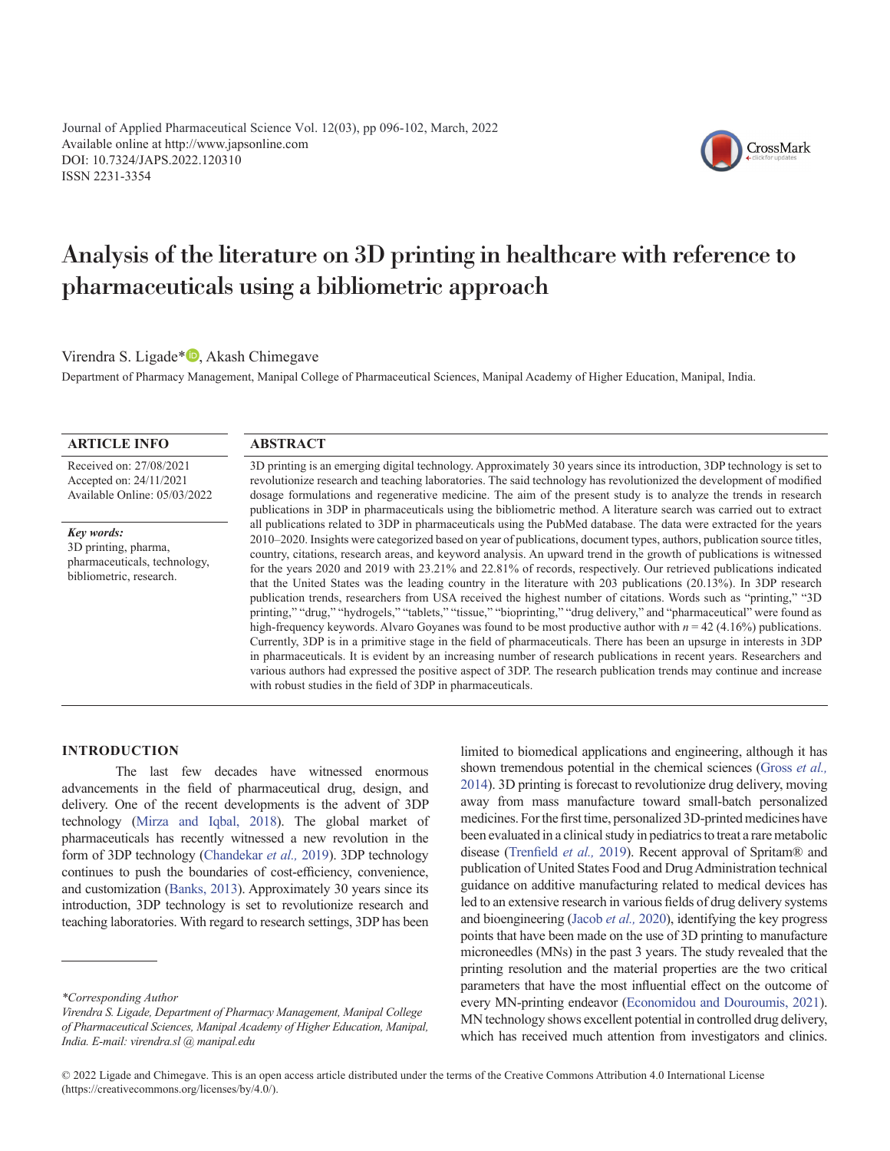Available online at http://www.japsonline.com DOI: 10.7324/JAPS.2022.120310 ISSN 2231-3354 Journal of Applied Pharmaceutical Science Vol. 12(03), p[p 096](#page-0-0)-102, March, 2022



# <span id="page-0-0"></span>Analysis of the literature on 3D printing in healthcare with reference to pharmaceuticals using a bibliometric approach

Virendra S. Ligade<sup>\*</sup> **D**[,](http://orcid.org/0000-0001-7945-3245) Akash Chimegave

Department of Pharmacy Management, Manipal College of Pharmaceutical Sciences, Manipal Academy of Higher Education, Manipal, India.

### **ARTICLE INFO**

Received on: 27/08/2021 Accepted on: 24/11/2021 Available Online: 05/03/2022

*Key words:* 3D printing, pharma, pharmaceuticals, technology, bibliometric, research.

### **ABSTRACT**

3D printing is an emerging digital technology. Approximately 30 years since its introduction, 3DP technology is set to revolutionize research and teaching laboratories. The said technology has revolutionized the development of modified dosage formulations and regenerative medicine. The aim of the present study is to analyze the trends in research publications in 3DP in pharmaceuticals using the bibliometric method. A literature search was carried out to extract all publications related to 3DP in pharmaceuticals using the PubMed database. The data were extracted for the years 2010–2020. Insights were categorized based on year of publications, document types, authors, publication source titles, country, citations, research areas, and keyword analysis. An upward trend in the growth of publications is witnessed for the years 2020 and 2019 with 23.21% and 22.81% of records, respectively. Our retrieved publications indicated that the United States was the leading country in the literature with 203 publications (20.13%). In 3DP research publication trends, researchers from USA received the highest number of citations. Words such as "printing," "3D printing," "drug," "hydrogels," "tablets," "tissue," "bioprinting," "drug delivery," and "pharmaceutical" were found as high-frequency keywords. Alvaro Goyanes was found to be most productive author with *n* = 42 (4.16%) publications. Currently, 3DP is in a primitive stage in the field of pharmaceuticals. There has been an upsurge in interests in 3DP in pharmaceuticals. It is evident by an increasing number of research publications in recent years. Researchers and various authors had expressed the positive aspect of 3DP. The research publication trends may continue and increase with robust studies in the field of 3DP in pharmaceuticals.

#### **INTRODUCTION**

The last few decades have witnessed enormous advancements in the field of pharmaceutical drug, design, and delivery. One of the recent developments is the advent of 3DP technology ([Mirza and Iqbal, 2018](#page-6-0)). The global market of pharmaceuticals has recently witnessed a new revolution in the form of 3DP technology [\(Chandekar](#page-5-0) *et al.,* 2019). 3DP technology continues to push the boundaries of cost-efficiency, convenience, and customization ([Banks, 2013](#page-5-0)). Approximately 30 years since its introduction, 3DP technology is set to revolutionize research and teaching laboratories. With regard to research settings, 3DP has been

limited to biomedical applications and engineering, although it has shown tremendous potential in the chemical sciences [\(Gross](#page-5-0) *et al.,* [2014\)](#page-5-0). 3D printing is forecast to revolutionize drug delivery, moving away from mass manufacture toward small-batch personalized medicines. For the first time, personalized 3D-printed medicines have been evaluated in a clinical study in pediatrics to treat a rare metabolic disease ([Trenfield](#page-6-0) *et al.,* 2019). Recent approval of Spritam® and publication of United States Food and Drug Administration technical guidance on additive manufacturing related to medical devices has led to an extensive research in various fields of drug delivery systems and bioengineering ([Jacob](#page-5-0) *et al.,* 2020), identifying the key progress points that have been made on the use of 3D printing to manufacture microneedles (MNs) in the past 3 years. The study revealed that the printing resolution and the material properties are the two critical parameters that have the most influential effect on the outcome of every MN-printing endeavor [\(Economidou and Douroumis, 2021](#page-5-0)). MN technology shows excellent potential in controlled drug delivery, which has received much attention from investigators and clinics.

*<sup>\*</sup>Corresponding Author*

*Virendra S. Ligade, Department of Pharmacy Management, Manipal College of Pharmaceutical Sciences, Manipal Academy of Higher Education, Manipal, India. E-mail: virendra.sl @ manipal.edu*

<sup>© 2022</sup> Ligade and Chimegave. This is an open access article distributed under the terms of the Creative Commons Attribution 4.0 International License (https://creativecommons.org/licenses/by/4.0/).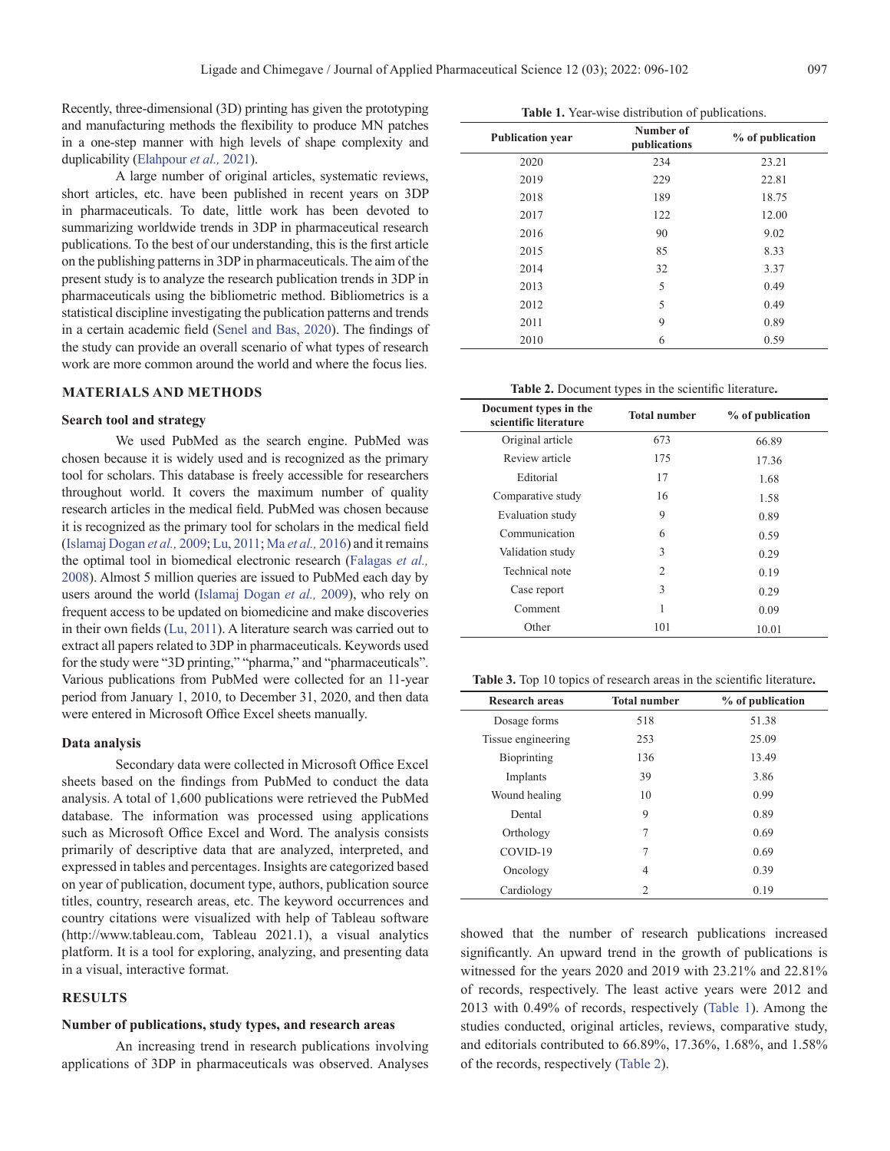<span id="page-1-0"></span>Recently, three-dimensional (3D) printing has given the prototyping and manufacturing methods the flexibility to produce MN patches in a one-step manner with high levels of shape complexity and duplicability [\(Elahpour](#page-5-0) *et al.,* 2021).

A large number of original articles, systematic reviews, short articles, etc. have been published in recent years on 3DP in pharmaceuticals. To date, little work has been devoted to summarizing worldwide trends in 3DP in pharmaceutical research publications. To the best of our understanding, this is the first article on the publishing patterns in 3DP in pharmaceuticals. The aim of the present study is to analyze the research publication trends in 3DP in pharmaceuticals using the bibliometric method. Bibliometrics is a statistical discipline investigating the publication patterns and trends in a certain academic field ([Senel and Bas, 2020](#page-6-0)). The findings of the study can provide an overall scenario of what types of research work are more common around the world and where the focus lies.

#### **MATERIALS AND METHODS**

#### **Search tool and strategy**

We used PubMed as the search engine. PubMed was chosen because it is widely used and is recognized as the primary tool for scholars. This database is freely accessible for researchers throughout world. It covers the maximum number of quality research articles in the medical field. PubMed was chosen because it is recognized as the primary tool for scholars in the medical field ([Islamaj Dogan](#page-5-0) *et al.,* 2009; [Lu, 2011](#page-6-0); Ma *[et al.,](#page-6-0)* 2016) and it remains the optimal tool in biomedical electronic research [\(Falagas](#page-5-0) *et al.,* [2008](#page-5-0)). Almost 5 million queries are issued to PubMed each day by users around the world [\(Islamaj Dogan](#page-5-0) *et al.,* 2009), who rely on frequent access to be updated on biomedicine and make discoveries in their own fields ([Lu, 2011\)](#page-6-0). A literature search was carried out to extract all papers related to 3DP in pharmaceuticals. Keywords used for the study were "3D printing," "pharma," and "pharmaceuticals". Various publications from PubMed were collected for an 11-year period from January 1, 2010, to December 31, 2020, and then data were entered in Microsoft Office Excel sheets manually.

#### **Data analysis**

Secondary data were collected in Microsoft Office Excel sheets based on the findings from PubMed to conduct the data analysis. A total of 1,600 publications were retrieved the PubMed database. The information was processed using applications such as Microsoft Office Excel and Word. The analysis consists primarily of descriptive data that are analyzed, interpreted, and expressed in tables and percentages. Insights are categorized based on year of publication, document type, authors, publication source titles, country, research areas, etc. The keyword occurrences and country citations were visualized with help of Tableau software (http://www.tableau.com, Tableau 2021.1), a visual analytics platform. It is a tool for exploring, analyzing, and presenting data in a visual, interactive format.

#### **RESULTS**

#### **Number of publications, study types, and research areas**

An increasing trend in research publications involving applications of 3DP in pharmaceuticals was observed. Analyses

| <b>Publication year</b> | Number of<br>publications | % of publication |
|-------------------------|---------------------------|------------------|
| 2020                    | 234                       | 23.21            |
| 2019                    | 229                       | 22.81            |
| 2018                    | 189                       | 18.75            |
| 2017                    | 122                       | 12.00            |
| 2016                    | 90                        | 9.02             |
| 2015                    | 85                        | 8.33             |
| 2014                    | 32                        | 3.37             |
| 2013                    | 5                         | 0.49             |
| 2012                    | 5                         | 0.49             |
| 2011                    | 9                         | 0.89             |
| 2010                    | 6                         | 0.59             |

**Table 1.** Year-wise distribution of publications.

**Table 2.** Document types in the scientific literature**.**

| Document types in the<br>scientific literature | <b>Total number</b> | % of publication |
|------------------------------------------------|---------------------|------------------|
| Original article                               | 673                 | 66.89            |
| Review article                                 | 175                 | 17.36            |
| Editorial                                      | 17                  | 1.68             |
| Comparative study                              | 16                  | 1.58             |
| Evaluation study                               | 9                   | 0.89             |
| Communication                                  | 6                   | 0.59             |
| Validation study                               | 3                   | 0.29             |
| Technical note                                 | $\overline{c}$      | 0.19             |
| Case report                                    | 3                   | 0.29             |
| Comment                                        | 1                   | 0.09             |
| Other                                          | 101                 | 10.01            |

| <b>Table 3.</b> Top 10 topics of research areas in the scientific literature. |  |  |  |  |  |
|-------------------------------------------------------------------------------|--|--|--|--|--|
|-------------------------------------------------------------------------------|--|--|--|--|--|

| <b>Research areas</b> | <b>Total number</b> | % of publication |
|-----------------------|---------------------|------------------|
| Dosage forms          | 518                 | 51.38            |
| Tissue engineering    | 253                 | 25.09            |
| Bioprinting           | 136                 | 13.49            |
| Implants              | 39                  | 3.86             |
| Wound healing         | 10                  | 0.99             |
| Dental                | 9                   | 0.89             |
| Orthology             | 7                   | 0.69             |
| COVID-19              | 7                   | 0.69             |
| Oncology              | 4                   | 0.39             |
| Cardiology            | $\mathfrak{D}$      | 0.19             |

showed that the number of research publications increased significantly. An upward trend in the growth of publications is witnessed for the years 2020 and 2019 with 23.21% and 22.81% of records, respectively. The least active years were 2012 and 2013 with 0.49% of records, respectively (Table 1). Among the studies conducted, original articles, reviews, comparative study, and editorials contributed to 66.89%, 17.36%, 1.68%, and 1.58% of the records, respectively (Table 2).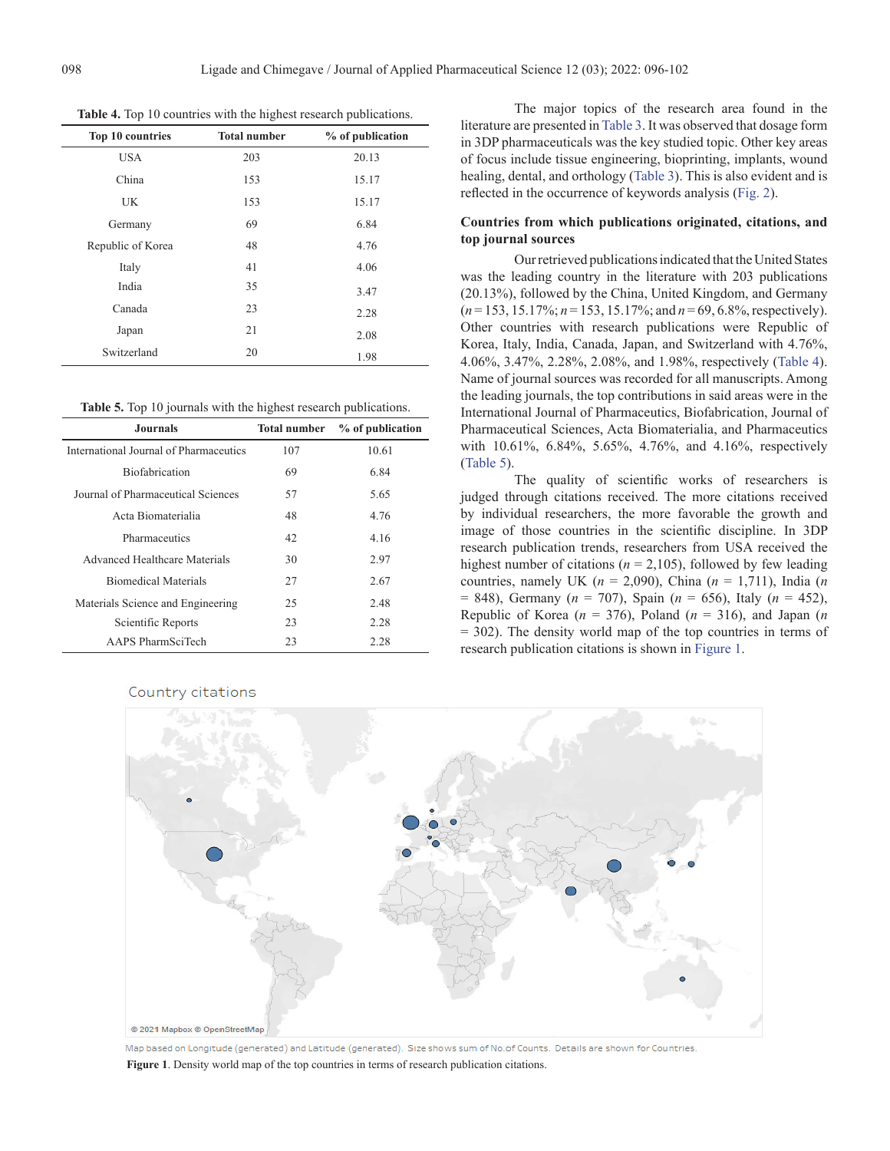| Top 10 countries  | <b>Total number</b> | % of publication |
|-------------------|---------------------|------------------|
| <b>USA</b>        | 203                 | 20.13            |
| China             | 153                 | 15.17            |
| <b>UK</b>         | 153                 | 15.17            |
| Germany           | 69                  | 6.84             |
| Republic of Korea | 48                  | 4.76             |
| Italy             | 41                  | 4.06             |
| India             | 35                  | 3.47             |
| Canada            | 23                  | 2.28             |
| Japan             | 21                  | 2.08             |
| Switzerland       | 20                  | 1.98             |

**Table 4.** Top 10 countries with the highest research publications.

**Table 5.** Top 10 journals with the highest research publications.

| <b>Journals</b>                        | <b>Total number</b> | % of publication |
|----------------------------------------|---------------------|------------------|
| International Journal of Pharmaceutics | 107                 | 10.61            |
| <b>Biofabrication</b>                  | 69                  | 6.84             |
| Journal of Pharmaceutical Sciences     | 57                  | 5.65             |
| Acta Biomaterialia                     | 48                  | 4.76             |
| Pharmaceutics                          | 42                  | 4.16             |
| Advanced Healthcare Materials          | 30                  | 2.97             |
| <b>Biomedical Materials</b>            | 27                  | 2.67             |
| Materials Science and Engineering      | 25                  | 2.48             |
| Scientific Reports                     | 23                  | 2.28             |
| AAPS PharmSciTech                      | 23                  | 2.28             |

Country citations

The major topics of the research area found in the literature are presented in [Table 3.](#page-1-0) It was observed that dosage form in 3DP pharmaceuticals was the key studied topic. Other key areas of focus include tissue engineering, bioprinting, implants, wound healing, dental, and orthology [\(Table 3](#page-1-0)). This is also evident and is reflected in the occurrence of keywords analysis ([Fig. 2\)](#page-4-0).

#### **Countries from which publications originated, citations, and top journal sources**

Our retrieved publications indicated that the United States was the leading country in the literature with 203 publications (20.13%), followed by the China, United Kingdom, and Germany (*n* = 153, 15.17%; *n* = 153, 15.17%; and *n* = 69, 6.8%, respectively). Other countries with research publications were Republic of Korea, Italy, India, Canada, Japan, and Switzerland with 4.76%, 4.06%, 3.47%, 2.28%, 2.08%, and 1.98%, respectively (Table 4). Name of journal sources was recorded for all manuscripts. Among the leading journals, the top contributions in said areas were in the International Journal of Pharmaceutics, Biofabrication, Journal of Pharmaceutical Sciences, Acta Biomaterialia, and Pharmaceutics with 10.61%, 6.84%, 5.65%, 4.76%, and 4.16%, respectively (Table 5).

The quality of scientific works of researchers is judged through citations received. The more citations received by individual researchers, the more favorable the growth and image of those countries in the scientific discipline. In 3DP research publication trends, researchers from USA received the highest number of citations ( $n = 2,105$ ), followed by few leading countries, namely UK (*n* = 2,090), China (*n* = 1,711), India (*n*  = 848), Germany (*n* = 707), Spain (*n* = 656), Italy (*n* = 452), Republic of Korea ( $n = 376$ ), Poland ( $n = 316$ ), and Japan (*n* = 302). The density world map of the top countries in terms of research publication citations is shown in Figure 1.



Map based on Longitude (generated) and Latitude (generated). Size shows sum of No.of Counts. Details are shown for Countries. **Figure 1**. Density world map of the top countries in terms of research publication citations.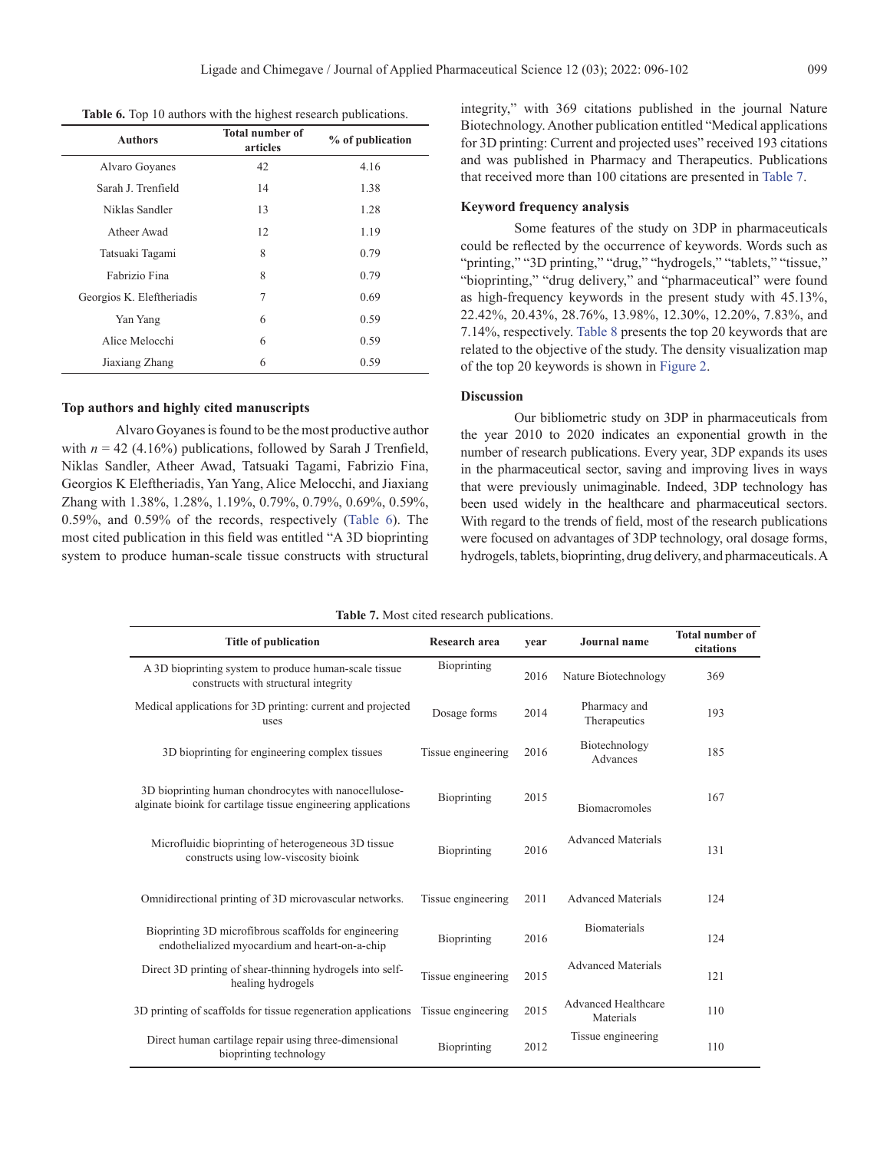**Table 6.** Top 10 authors with the highest research publications.

| <b>Authors</b>            | <b>Total number of</b><br>articles | % of publication |
|---------------------------|------------------------------------|------------------|
| Alvaro Goyanes            | 42                                 | 4.16             |
| Sarah J. Trenfield        | 14                                 | 1.38             |
| Niklas Sandler            | 13                                 | 1.28             |
| Atheer Awad               | 12                                 | 1.19             |
| Tatsuaki Tagami           | 8                                  | 0.79             |
| Fabrizio Fina             | 8                                  | 0.79             |
| Georgios K. Eleftheriadis | 7                                  | 0.69             |
| Yan Yang                  | 6                                  | 0.59             |
| Alice Melocchi            | 6                                  | 0.59             |
| Jiaxiang Zhang            | 6                                  | 0.59             |

#### **Top authors and highly cited manuscripts**

Alvaro Goyanes is found to be the most productive author with  $n = 42$  (4.16%) publications, followed by Sarah J Trenfield, Niklas Sandler, Atheer Awad, Tatsuaki Tagami, Fabrizio Fina, Georgios K Eleftheriadis, Yan Yang, Alice Melocchi, and Jiaxiang Zhang with 1.38%, 1.28%, 1.19%, 0.79%, 0.79%, 0.69%, 0.59%, 0.59%, and 0.59% of the records, respectively (Table 6). The most cited publication in this field was entitled "A 3D bioprinting system to produce human-scale tissue constructs with structural integrity," with 369 citations published in the journal Nature Biotechnology. Another publication entitled "Medical applications for 3D printing: Current and projected uses" received 193 citations and was published in Pharmacy and Therapeutics. Publications that received more than 100 citations are presented in Table 7.

#### **Keyword frequency analysis**

Some features of the study on 3DP in pharmaceuticals could be reflected by the occurrence of keywords. Words such as "printing," "3D printing," "drug," "hydrogels," "tablets," "tissue," "bioprinting," "drug delivery," and "pharmaceutical" were found as high-frequency keywords in the present study with 45.13%, 22.42%, 20.43%, 28.76%, 13.98%, 12.30%, 12.20%, 7.83%, and 7.14%, respectively. [Table 8](#page-4-0) presents the top 20 keywords that are related to the objective of the study. The density visualization map of the top 20 keywords is shown in [Figure 2](#page-4-0).

#### **Discussion**

Our bibliometric study on 3DP in pharmaceuticals from the year 2010 to 2020 indicates an exponential growth in the number of research publications. Every year, 3DP expands its uses in the pharmaceutical sector, saving and improving lives in ways that were previously unimaginable. Indeed, 3DP technology has been used widely in the healthcare and pharmaceutical sectors. With regard to the trends of field, most of the research publications were focused on advantages of 3DP technology, oral dosage forms, hydrogels, tablets, bioprinting, drug delivery, and pharmaceuticals. A

| <b>Title of publication</b>                                                                                            | Research area      | vear | <b>Journal</b> name                     | <b>Total number of</b><br>citations |
|------------------------------------------------------------------------------------------------------------------------|--------------------|------|-----------------------------------------|-------------------------------------|
| A 3D bioprinting system to produce human-scale tissue<br>constructs with structural integrity                          | Bioprinting        | 2016 | Nature Biotechnology                    | 369                                 |
| Medical applications for 3D printing: current and projected<br>uses                                                    | Dosage forms       | 2014 | Pharmacy and<br>Therapeutics            | 193                                 |
| 3D bioprinting for engineering complex tissues                                                                         | Tissue engineering | 2016 | Biotechnology<br>Advances               | 185                                 |
| 3D bioprinting human chondrocytes with nanocellulose-<br>alginate bioink for cartilage tissue engineering applications | Bioprinting        | 2015 | <b>Biomacromoles</b>                    | 167                                 |
| Microfluidic bioprinting of heterogeneous 3D tissue<br>constructs using low-viscosity bioink                           | Bioprinting        | 2016 | <b>Advanced Materials</b>               | 131                                 |
| Omnidirectional printing of 3D microvascular networks.                                                                 | Tissue engineering | 2011 | <b>Advanced Materials</b>               | 124                                 |
| Bioprinting 3D microfibrous scaffolds for engineering<br>endothelialized myocardium and heart-on-a-chip                | Bioprinting        | 2016 | <b>Biomaterials</b>                     | 124                                 |
| Direct 3D printing of shear-thinning hydrogels into self-<br>healing hydrogels                                         | Tissue engineering | 2015 | <b>Advanced Materials</b>               | 121                                 |
| 3D printing of scaffolds for tissue regeneration applications Tissue engineering                                       |                    | 2015 | <b>Advanced Healthcare</b><br>Materials | 110                                 |
| Direct human cartilage repair using three-dimensional<br>bioprinting technology                                        | Bioprinting        | 2012 | Tissue engineering                      | 110                                 |

**Table 7.** Most cited research publications.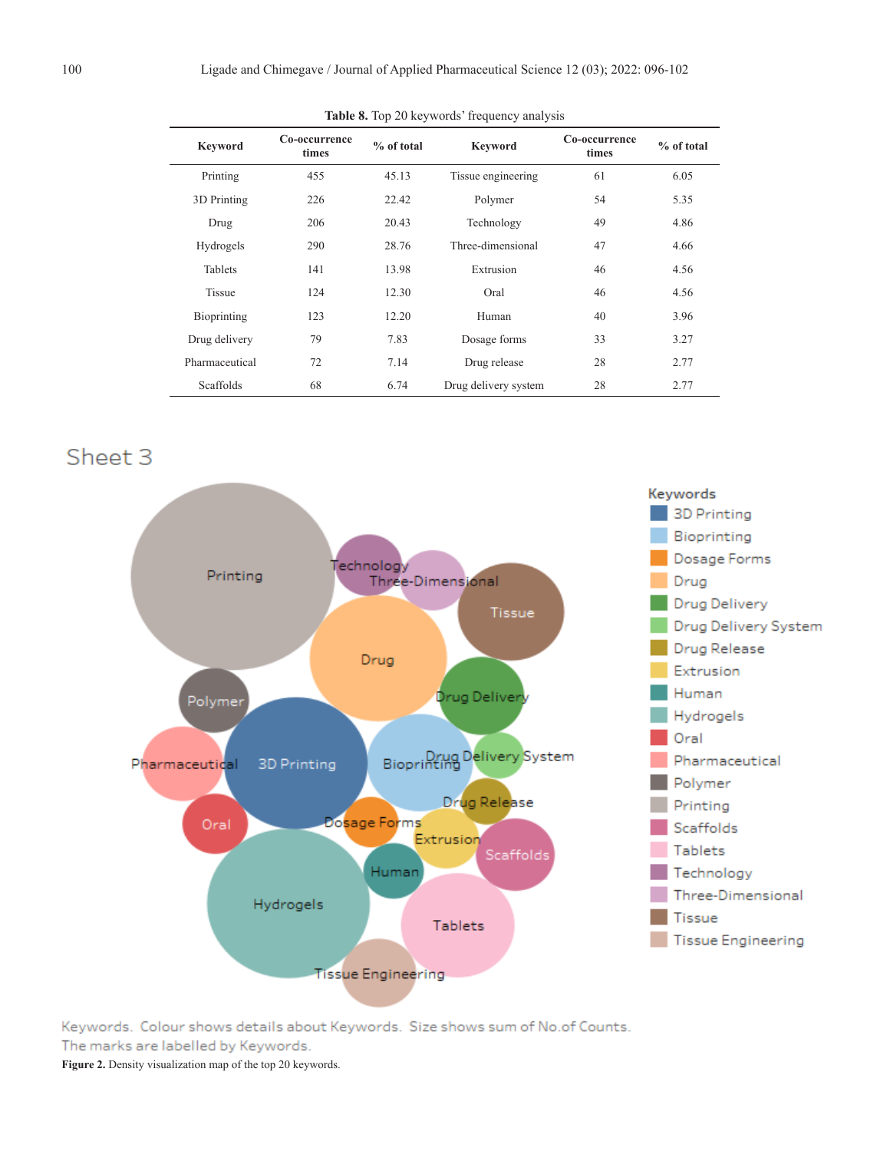<span id="page-4-0"></span>

| <b>Keyword</b> | Co-occurrence<br>times | $%$ of total | <b>Keyword</b>       | Co-occurrence<br>times | $%$ of total |
|----------------|------------------------|--------------|----------------------|------------------------|--------------|
| Printing       | 455                    | 45.13        | Tissue engineering   | 61                     | 6.05         |
| 3D Printing    | 226                    | 22.42        | Polymer              | 54                     | 5.35         |
| Drug           | 206                    | 20.43        | Technology           | 49                     | 4.86         |
| Hydrogels      | 290                    | 28.76        | Three-dimensional    | 47                     | 4.66         |
| <b>Tablets</b> | 141                    | 13.98        | Extrusion            | 46                     | 4.56         |
| <b>Tissue</b>  | 124                    | 12.30        | Oral                 | 46                     | 4.56         |
| Bioprinting    | 123                    | 12.20        | Human                | 40                     | 3.96         |
| Drug delivery  | 79                     | 7.83         | Dosage forms         | 33                     | 3.27         |
| Pharmaceutical | 72                     | 7.14         | Drug release         | 28                     | 2.77         |
| Scaffolds      | 68                     | 6.74         | Drug delivery system | 28                     | 2.77         |

**Table 8.** Top 20 keywords' frequency analysis

## Sheet<sub>3</sub>



Keywords. Colour shows details about Keywords. Size shows sum of No.of Counts. The marks are labelled by Keywords.

**Figure 2.** Density visualization map of the top 20 keywords.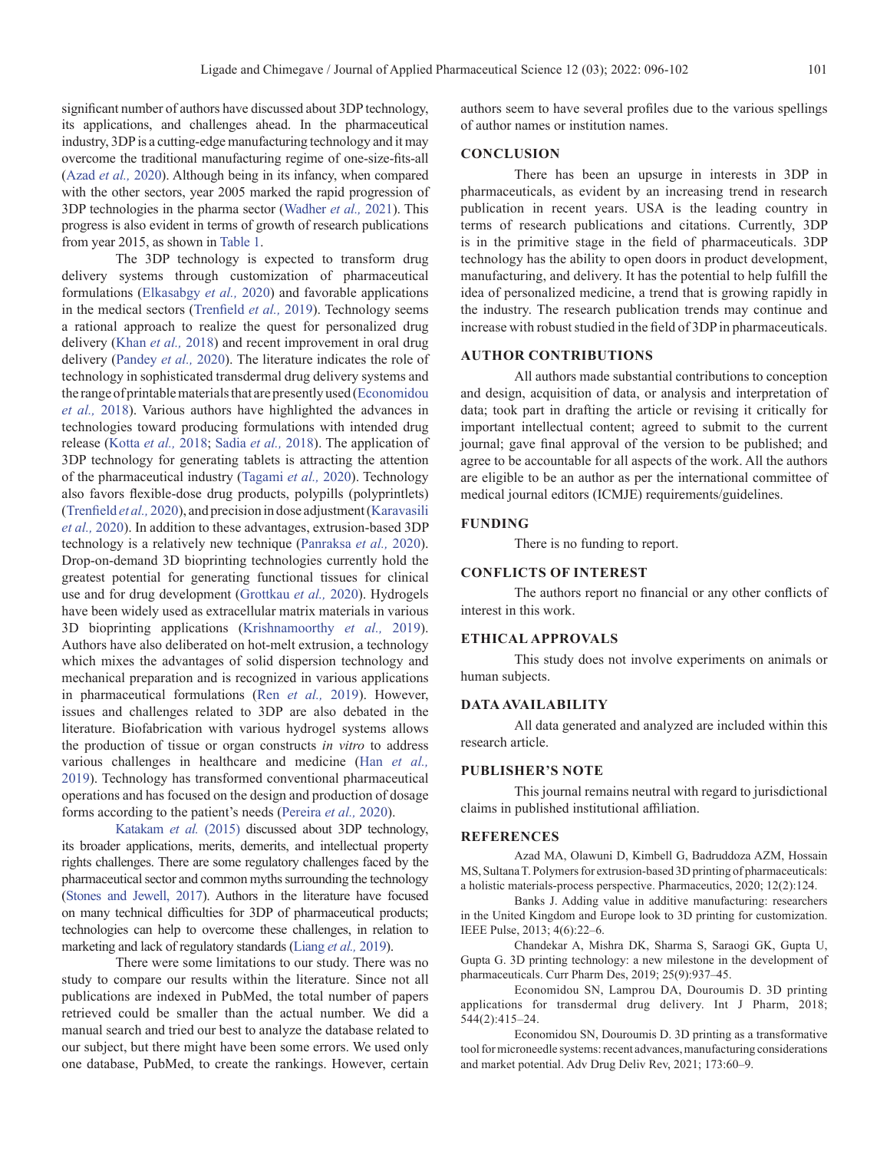<span id="page-5-0"></span>significant number of authors have discussed about 3DP technology, its applications, and challenges ahead. In the pharmaceutical industry, 3DP is a cutting-edge manufacturing technology and it may overcome the traditional manufacturing regime of one-size-fits-all (Azad *et al.,* 2020). Although being in its infancy, when compared with the other sectors, year 2005 marked the rapid progression of 3DP technologies in the pharma sector [\(Wadher](#page-6-0) *et al.,* 2021). This progress is also evident in terms of growth of research publications from year 2015, as shown in [Table 1](#page-1-0).

The 3DP technology is expected to transform drug delivery systems through customization of pharmaceutical formulations (Elkasabgy *et al.,* 2020) and favorable applications in the medical sectors ([Trenfield](#page-6-0) *et al.,* 2019). Technology seems a rational approach to realize the quest for personalized drug delivery ([Khan](#page-6-0) *et al.,* 2018) and recent improvement in oral drug delivery ([Pandey](#page-6-0) *et al.,* 2020). The literature indicates the role of technology in sophisticated transdermal drug delivery systems and the range of printable materials that are presently used (Economidou *et al.,* 2018). Various authors have highlighted the advances in technologies toward producing formulations with intended drug release [\(Kotta](#page-6-0) *et al.,* 2018; [Sadia](#page-6-0) *et al.,* 2018). The application of 3DP technology for generating tablets is attracting the attention of the pharmaceutical industry [\(Tagami](#page-6-0) *et al.,* 2020). Technology also favors flexible-dose drug products, polypills (polyprintlets) ([Trenfield](#page-6-0) *et al.,* 2020), and precision in dose adjustment ([Karavasili](#page-6-0) *[et al.,](#page-6-0)* 2020). In addition to these advantages, extrusion-based 3DP technology is a relatively new technique [\(Panraksa](#page-6-0) *et al.,* 2020). Drop-on-demand 3D bioprinting technologies currently hold the greatest potential for generating functional tissues for clinical use and for drug development (Grottkau *et al.,* 2020). Hydrogels have been widely used as extracellular matrix materials in various 3D bioprinting applications [\(Krishnamoorthy](#page-6-0) *et al.,* 2019). Authors have also deliberated on hot-melt extrusion, a technology which mixes the advantages of solid dispersion technology and mechanical preparation and is recognized in various applications in pharmaceutical formulations (Ren *et al.,* [2019\)](#page-6-0). However, issues and challenges related to 3DP are also debated in the literature. Biofabrication with various hydrogel systems allows the production of tissue or organ constructs *in vitro* to address various challenges in healthcare and medicine (Han *et al.,* 2019). Technology has transformed conventional pharmaceutical operations and has focused on the design and production of dosage forms according to the patient's needs ([Pereira](#page-6-0) *et al.,* 2020).

[Katakam](#page-6-0) *et al.* (2015) discussed about 3DP technology, its broader applications, merits, demerits, and intellectual property rights challenges. There are some regulatory challenges faced by the pharmaceutical sector and common myths surrounding the technology [\(Stones and Jewell, 2017](#page-6-0)). Authors in the literature have focused on many technical difficulties for 3DP of pharmaceutical products; technologies can help to overcome these challenges, in relation to marketing and lack of regulatory standards [\(Liang](#page-6-0) *et al.,* 2019).

There were some limitations to our study. There was no study to compare our results within the literature. Since not all publications are indexed in PubMed, the total number of papers retrieved could be smaller than the actual number. We did a manual search and tried our best to analyze the database related to our subject, but there might have been some errors. We used only one database, PubMed, to create the rankings. However, certain authors seem to have several profiles due to the various spellings of author names or institution names.

#### **CONCLUSION**

There has been an upsurge in interests in 3DP in pharmaceuticals, as evident by an increasing trend in research publication in recent years. USA is the leading country in terms of research publications and citations. Currently, 3DP is in the primitive stage in the field of pharmaceuticals. 3DP technology has the ability to open doors in product development, manufacturing, and delivery. It has the potential to help fulfill the idea of personalized medicine, a trend that is growing rapidly in the industry. The research publication trends may continue and increase with robust studied in the field of 3DP in pharmaceuticals.

#### **AUTHOR CONTRIBUTIONS**

All authors made substantial contributions to conception and design, acquisition of data, or analysis and interpretation of data; took part in drafting the article or revising it critically for important intellectual content; agreed to submit to the current journal; gave final approval of the version to be published; and agree to be accountable for all aspects of the work. All the authors are eligible to be an author as per the international committee of medical journal editors (ICMJE) requirements/guidelines.

#### **FUNDING**

There is no funding to report.

#### **CONFLICTS OF INTEREST**

The authors report no financial or any other conflicts of interest in this work.

#### **ETHICAL APPROVALS**

This study does not involve experiments on animals or human subjects.

#### **DATA AVAILABILITY**

All data generated and analyzed are included within this research article.

#### **PUBLISHER'S NOTE**

This journal remains neutral with regard to jurisdictional claims in published institutional affiliation.

#### **REFERENCES**

Azad MA, Olawuni D, Kimbell G, Badruddoza AZM, Hossain MS, Sultana T. Polymers for extrusion-based 3D printing of pharmaceuticals: a holistic materials-process perspective. Pharmaceutics, 2020; 12(2):124.

Banks J. Adding value in additive manufacturing: researchers in the United Kingdom and Europe look to 3D printing for customization. IEEE Pulse, 2013; 4(6):22–6.

Chandekar A, Mishra DK, Sharma S, Saraogi GK, Gupta U, Gupta G. 3D printing technology: a new milestone in the development of pharmaceuticals. Curr Pharm Des, 2019; 25(9):937–45.

Economidou SN, Lamprou DA, Douroumis D. 3D printing applications for transdermal drug delivery. Int J Pharm, 2018; 544(2):415–24.

Economidou SN, Douroumis D. 3D printing as a transformative tool for microneedle systems: recent advances, manufacturing considerations and market potential. Adv Drug Deliv Rev, 2021; 173:60–9.